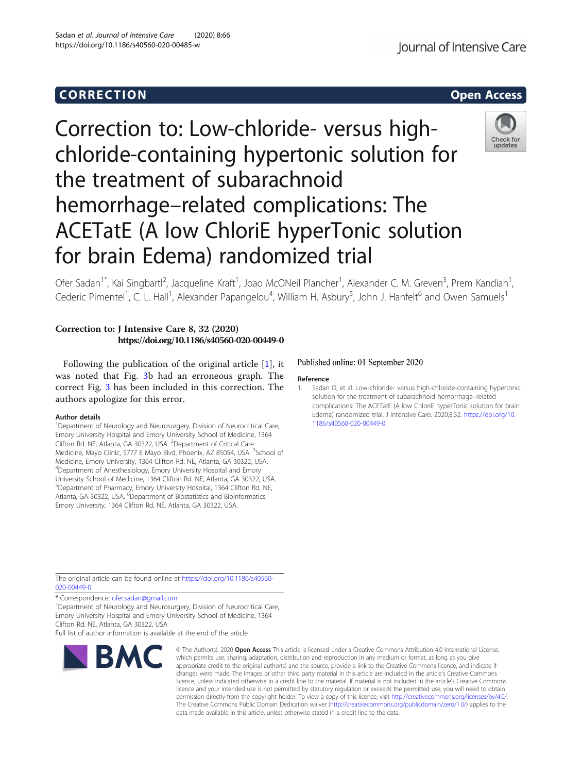# Corresponding to the corresponding to the corresponding to the corresponding to the corresponding to the corresponding to the corresponding to the corresponding to the corresponding to the corresponding to the correspondin Correction to: Low-chloride- versus highchloride-containing hypertonic solution for

hemorrhage–related complications: The

ACETatE (A low ChloriE hyperTonic solution

the treatment of subarachnoid

for brain Edema) randomized trial

Ofer Sadan<sup>1\*</sup>, Kai Singbartl<sup>2</sup>, Jacqueline Kraft<sup>1</sup>, Joao McONeil Plancher<sup>1</sup>, Alexander C. M. Greven<sup>3</sup>, Prem Kandiah<sup>1</sup> , Cederic Pimentel<sup>1</sup>, C. L. Hall<sup>1</sup>, Alexander Papangelou<sup>4</sup>, William H. Asbury<sup>5</sup>, John J. Hanfelt<sup>6</sup> and Owen Samuels<sup>1</sup>

## Correction to: J Intensive Care 8, 32 (2020) https://doi.org/10.1186/s40560-020-00449-0

Following the publication of the original article [1], it was noted that Fig. [3b](#page-1-0) had an erroneous graph. The correct Fig. [3](#page-1-0) has been included in this correction. The authors apologize for this error.

#### Author details

<sup>1</sup>Department of Neurology and Neurosurgery, Division of Neurocritical Care, Emory University Hospital and Emory University School of Medicine, 1364 Clifton Rd. NE, Atlanta, GA 30322, USA. <sup>2</sup>Department of Critical Care Medicine, Mayo Clinic, 5777 E Mayo Blvd, Phoenix, AZ 85054, USA. <sup>3</sup>School of Medicine, Emory University, 1364 Clifton Rd. NE, Atlanta, GA 30322, USA. 4 Department of Anesthesiology, Emory University Hospital and Emory University School of Medicine, 1364 Clifton Rd. NE, Atlanta, GA 30322, USA. <sup>5</sup>Department of Pharmacy, Emory University Hospital, 1364 Clifton Rd. NE, Atlanta, GA 30322, USA. <sup>6</sup>Department of Biostatistics and Bioinformatics, Emory University, 1364 Clifton Rd. NE, Atlanta, GA 30322, USA.

### Published online: 01 September 2020

#### Reference

1. Sadan O, et al. Low-chloride- versus high-chloride-containing hypertonic solution for the treatment of subarachnoid hemorrhage–related complications: The ACETatE (A low ChloriE hyperTonic solution for brain Edema) randomized trial. J Intensive Care. 2020;8:32. [https://doi.org/10.](https://doi.org/10.1186/s40560-020-00449-0) [1186/s40560-020-00449-0.](https://doi.org/10.1186/s40560-020-00449-0)

The original article can be found online at [https://doi.org/10.1186/s40560-](https://doi.org/10.1186/s40560-020-00449-0) [020-00449-0](https://doi.org/10.1186/s40560-020-00449-0).

\* Correspondence: [ofer.sadan@gmail.com](mailto:ofer.sadan@gmail.com) <sup>1</sup>

<sup>1</sup>Department of Neurology and Neurosurgery, Division of Neurocritical Care, Emory University Hospital and Emory University School of Medicine, 1364 Clifton Rd. NE, Atlanta, GA 30322, USA

Full list of author information is available at the end of the article



Journal of Intensive Care

**RMC** 

© The Author(s), 2020 **Open Access** This article is licensed under a Creative Commons Attribution 4.0 International License, which permits use, sharing, adaptation, distribution and reproduction in any medium or format, as long as you give appropriate credit to the original author(s) and the source, provide a link to the Creative Commons licence, and indicate if changes were made. The images or other third party material in this article are included in the article's Creative Commons licence, unless indicated otherwise in a credit line to the material. If material is not included in the article's Creative Commons licence and your intended use is not permitted by statutory regulation or exceeds the permitted use, you will need to obtain permission directly from the copyright holder. To view a copy of this licence, visit [http://creativecommons.org/licenses/by/4.0/.](http://creativecommons.org/licenses/by/4.0/) The Creative Commons Public Domain Dedication waiver [\(http://creativecommons.org/publicdomain/zero/1.0/](http://creativecommons.org/publicdomain/zero/1.0/)) applies to the data made available in this article, unless otherwise stated in a credit line to the data.